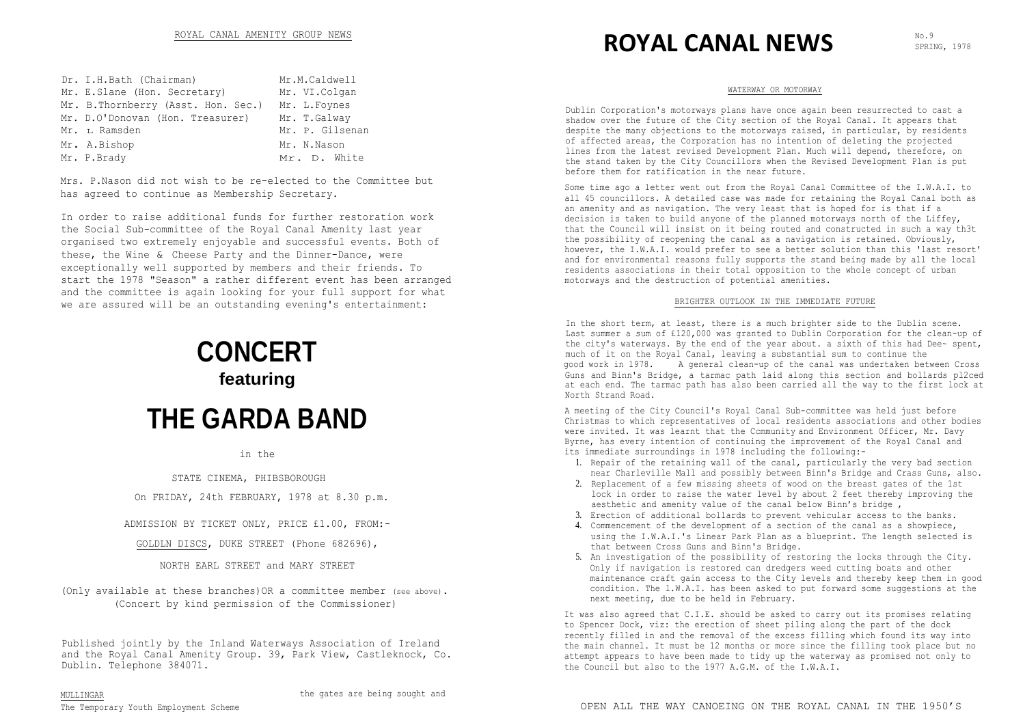| Dr. I.H.Bath (Chairman)             | Mr.M.Caldwell   |
|-------------------------------------|-----------------|
| Mr. E.Slane (Hon. Secretary)        | Mr. VI.Colgan   |
| Mr. B. Thornberry (Asst. Hon. Sec.) | Mr. L.Foynes    |
| Mr. D.O'Donovan (Hon. Treasurer)    | Mr. T.Galway    |
| Mr. L Ramsden                       | Mr. P. Gilsenan |
| Mr. A.Bishop                        | Mr. N.Nason     |
| Mr. P.Brady                         | Mr. D. White    |

Mrs. P.Nason did not wish to be re-elected to the Committee but has agreed to continue as Membership Secretary.

In order to raise additional funds for further restoration work the Social Sub-committee of the Royal Canal Amenity last year organised two extremely enjoyable and successful events. Both of these, the Wine & Cheese Party and the Dinner-Dance, were exceptionally well supported by members and their friends. To start the 1978 "Season" a rather different event has been arranged and the committee is again looking for your full support for what we are assured will be an outstanding evening's entertainment:

# **CONCERT featuring THE GARDA BAND**

in the

STATE CINEMA, PHIBSBOROUGH

On FRIDAY, 24th FEBRUARY, 1978 at 8.30 p.m.

ADMISSION BY TICKET ONLY, PRICE £1.00, FROM:-

GOLDLN DISCS, DUKE STREET (Phone 682696),

NORTH EARL STREET and MARY STREET

(Only available at these branches)OR a committee member (see above). (Concert by kind permission of the Commissioner)

Published jointly by the Inland Waterways Association of Ireland and the Royal Canal Amenity Group. 39, Park View, Castleknock, Co. Dublin. Telephone 384071.

The Temporary Youth Employment Scheme

# ROYAL CANAL AMENITY GROUP NEWS **ROYAL CANAL NEWS**

SPRING, 1978

#### WATERWAY OR MOTORWAY

Dublin Corporation's motorways plans have once again been resurrected to cast a shadow over the future of the City section of the Royal Canal. It appears that despite the many objections to the motorways raised, in particular, by residents of affected areas, the Corporation has no intention of deleting the projected lines from the latest revised Development Plan. Much will depend, therefore, on the stand taken by the City Councillors when the Revised Development Plan is put before them for ratification in the near future.

Some time ago a letter went out from the Royal Canal Committee of the I.W.A.I. to all 45 councillors. A detailed case was made for retaining the Royal Canal both as an amenity and as navigation. The very least that is hoped for is that if a decision is taken to build anyone of the planned motorways north of the Liffey, that the Council will insist on it being routed and constructed in such a way th3t the possibility of reopening the canal as a navigation is retained. Obviously, however, the I.W.A.I. would prefer to see a better solution than this 'last resort' and for environmental reasons fully supports the stand being made by all the local residents associations in their total opposition to the whole concept of urban motorways and the destruction of potential amenities.

#### BRIGHTER OUTLOOK IN THE IMMEDIATE FUTURE

In the short term, at least, there is a much brighter side to the Dublin scene. Last summer a sum of £120,000 was granted to Dublin Corporation for the clean-up of the city's waterways. By the end of the year about. a sixth of this had Dee~ spent, much of it on the Royal Canal, leaving a substantial sum to continue the good work in 1978. A general clean-up of the canal was undertaken between Cross Guns and Binn's Bridge, a tarmac path laid along this section and bollards pl2ced at each end. The tarmac path has also been carried all the way to the first lock at North Strand Road.

A meeting of the City Council's Royal Canal Sub-committee was held just before Christmas to which representatives of local residents associations and other bodies were invited. It was learnt that the Ccmmunity and Environment Officer, Mr. Davy Byrne, has every intention of continuing the improvement of the Royal Canal and its immediate surroundings in 1978 including the following:-

- 1. Repair of the retaining wall of the canal, particularly the very bad section near Charleville Mall and possibly between Binn's Bridge and Crass Guns, also.
- 2. Replacement of a few missing sheets of wood on the breast gates of the 1st lock in order to raise the water level by about 2 feet thereby improving the aesthetic and amenity value of the canal below Binn's bridge ,
- 3. Erection of additional bollards to prevent vehicular access to the banks.
- 4. Commencement of the development of a section of the canal as a showpiece, using the I.W.A.I.'s Linear Park Plan as a blueprint. The length selected is that between Cross Guns and Binn's Bridge.
- 5. An investigation of the possibility of restoring the locks through the City. Only if navigation is restored can dredgers weed cutting boats and other maintenance craft gain access to the City levels and thereby keep them in good condition. The l.W.A.I. has been asked to put forward some suggestions at the next meeting, due to be held in February.

It was also agreed that C.I.E. should be asked to carry out its promises relating to Spencer Dock, viz: the erection of sheet piling along the part of the dock recently filled in and the removal of the excess filling which found its way into the main channel. It must be 12 months or more since the filling took place but no attempt appears to have been made to tidy up the waterway as promised not only to the Council but also to the 1977 A.G.M. of the I.W.A.I.